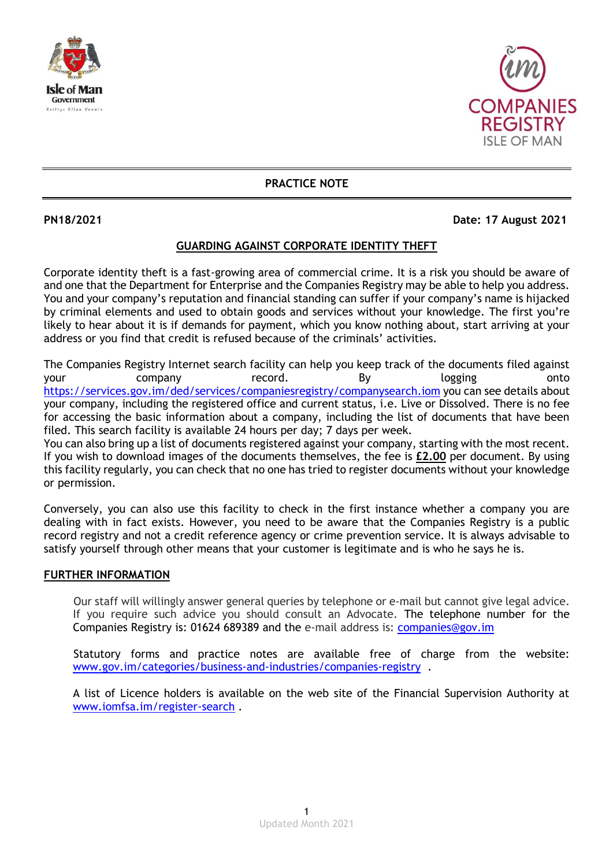



**PRACTICE NOTE**

## **PN18/2021 Date: 17 August 2021**

## **GUARDING AGAINST CORPORATE IDENTITY THEFT**

Corporate identity theft is a fast-growing area of commercial crime. It is a risk you should be aware of and one that the Department for Enterprise and the Companies Registry may be able to help you address. You and your company's reputation and financial standing can suffer if your company's name is hijacked by criminal elements and used to obtain goods and services without your knowledge. The first you're likely to hear about it is if demands for payment, which you know nothing about, start arriving at your address or you find that credit is refused because of the criminals' activities.

The Companies Registry Internet search facility can help you keep track of the documents filed against your company record. By logging onto <https://services.gov.im/ded/services/companiesregistry/companysearch.iom> you can see details about your company, including the registered office and current status, i.e. Live or Dissolved. There is no fee for accessing the basic information about a company, including the list of documents that have been filed. This search facility is available 24 hours per day; 7 days per week.

You can also bring up a list of documents registered against your company, starting with the most recent. If you wish to download images of the documents themselves, the fee is **£2.00** per document. By using this facility regularly, you can check that no one has tried to register documents without your knowledge or permission.

Conversely, you can also use this facility to check in the first instance whether a company you are dealing with in fact exists. However, you need to be aware that the Companies Registry is a public record registry and not a credit reference agency or crime prevention service. It is always advisable to satisfy yourself through other means that your customer is legitimate and is who he says he is.

## **FURTHER INFORMATION**

Our staff will willingly answer general queries by telephone or e-mail but cannot give legal advice. If you require such advice you should consult an Advocate. The telephone number for the Companies Registry is: 01624 689389 and the e-mail address is: [companies@gov.im](mailto:companies.registry@gov.im)

Statutory forms and practice notes are available free of charge from the website: [www.gov.im/categories/business-and-industries/companies-registry](http://www.gov.im/categories/business-and-industries/companies-registry) .

A list of Licence holders is available on the web site of the Financial Supervision Authority at [www.iomfsa.im/register-search](http://www.iomfsa.im/register-search) .